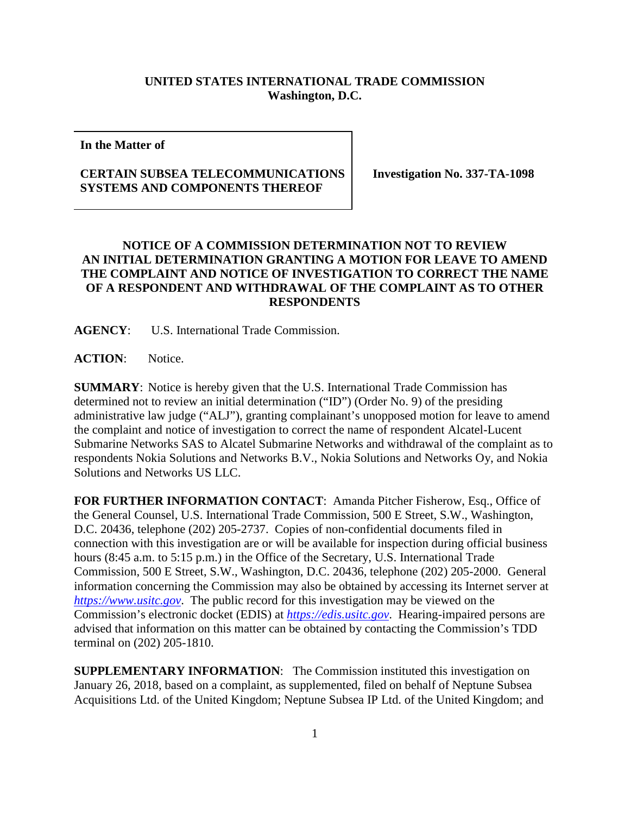## **UNITED STATES INTERNATIONAL TRADE COMMISSION Washington, D.C.**

**In the Matter of**

## **CERTAIN SUBSEA TELECOMMUNICATIONS SYSTEMS AND COMPONENTS THEREOF**

**Investigation No. 337-TA-1098**

## **NOTICE OF A COMMISSION DETERMINATION NOT TO REVIEW AN INITIAL DETERMINATION GRANTING A MOTION FOR LEAVE TO AMEND THE COMPLAINT AND NOTICE OF INVESTIGATION TO CORRECT THE NAME OF A RESPONDENT AND WITHDRAWAL OF THE COMPLAINT AS TO OTHER RESPONDENTS**

**AGENCY**: U.S. International Trade Commission.

**ACTION**: Notice.

**SUMMARY**: Notice is hereby given that the U.S. International Trade Commission has determined not to review an initial determination ("ID") (Order No. 9) of the presiding administrative law judge ("ALJ"), granting complainant's unopposed motion for leave to amend the complaint and notice of investigation to correct the name of respondent Alcatel-Lucent Submarine Networks SAS to Alcatel Submarine Networks and withdrawal of the complaint as to respondents Nokia Solutions and Networks B.V., Nokia Solutions and Networks Oy, and Nokia Solutions and Networks US LLC.

**FOR FURTHER INFORMATION CONTACT**: Amanda Pitcher Fisherow, Esq., Office of the General Counsel, U.S. International Trade Commission, 500 E Street, S.W., Washington, D.C. 20436, telephone (202) 205-2737. Copies of non-confidential documents filed in connection with this investigation are or will be available for inspection during official business hours (8:45 a.m. to 5:15 p.m.) in the Office of the Secretary, U.S. International Trade Commission, 500 E Street, S.W., Washington, D.C. 20436, telephone (202) 205-2000. General information concerning the Commission may also be obtained by accessing its Internet server at *[https://www.usitc.gov](https://www.usitc.gov/)*. The public record for this investigation may be viewed on the Commission's electronic docket (EDIS) at *[https://edis.usitc.gov](https://edis.usitc.gov/)*. Hearing-impaired persons are advised that information on this matter can be obtained by contacting the Commission's TDD terminal on (202) 205-1810.

**SUPPLEMENTARY INFORMATION:** The Commission instituted this investigation on January 26, 2018, based on a complaint, as supplemented, filed on behalf of Neptune Subsea Acquisitions Ltd. of the United Kingdom; Neptune Subsea IP Ltd. of the United Kingdom; and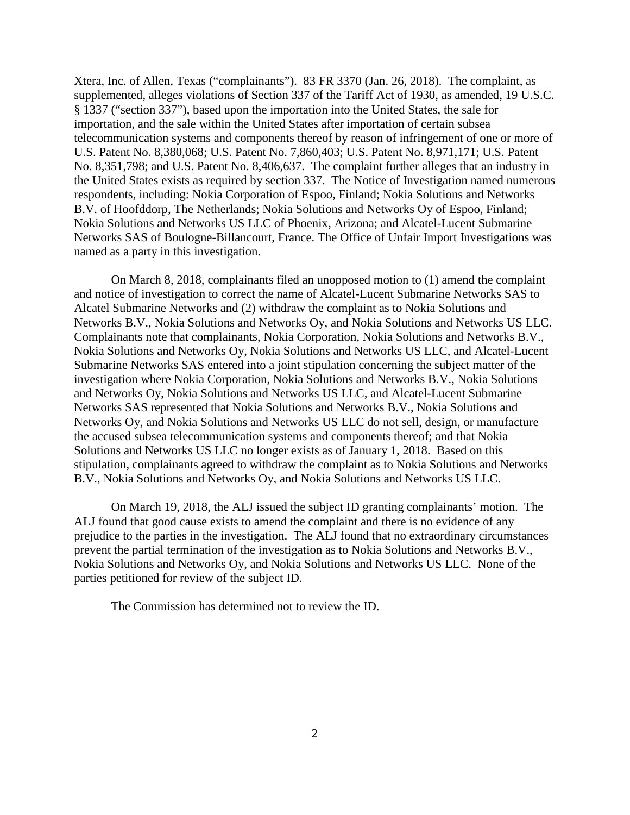Xtera, Inc. of Allen, Texas ("complainants"). 83 FR 3370 (Jan. 26, 2018). The complaint, as supplemented, alleges violations of Section 337 of the Tariff Act of 1930, as amended, 19 U.S.C. § 1337 ("section 337"), based upon the importation into the United States, the sale for importation, and the sale within the United States after importation of certain subsea telecommunication systems and components thereof by reason of infringement of one or more of U.S. Patent No. 8,380,068; U.S. Patent No. 7,860,403; U.S. Patent No. 8,971,171; U.S. Patent No. 8,351,798; and U.S. Patent No. 8,406,637. The complaint further alleges that an industry in the United States exists as required by section 337. The Notice of Investigation named numerous respondents, including: Nokia Corporation of Espoo, Finland; Nokia Solutions and Networks B.V. of Hoofddorp, The Netherlands; Nokia Solutions and Networks Oy of Espoo, Finland; Nokia Solutions and Networks US LLC of Phoenix, Arizona; and Alcatel-Lucent Submarine Networks SAS of Boulogne-Billancourt, France. The Office of Unfair Import Investigations was named as a party in this investigation.

On March 8, 2018, complainants filed an unopposed motion to (1) amend the complaint and notice of investigation to correct the name of Alcatel-Lucent Submarine Networks SAS to Alcatel Submarine Networks and (2) withdraw the complaint as to Nokia Solutions and Networks B.V., Nokia Solutions and Networks Oy, and Nokia Solutions and Networks US LLC. Complainants note that complainants, Nokia Corporation, Nokia Solutions and Networks B.V., Nokia Solutions and Networks Oy, Nokia Solutions and Networks US LLC, and Alcatel-Lucent Submarine Networks SAS entered into a joint stipulation concerning the subject matter of the investigation where Nokia Corporation, Nokia Solutions and Networks B.V., Nokia Solutions and Networks Oy, Nokia Solutions and Networks US LLC, and Alcatel-Lucent Submarine Networks SAS represented that Nokia Solutions and Networks B.V., Nokia Solutions and Networks Oy, and Nokia Solutions and Networks US LLC do not sell, design, or manufacture the accused subsea telecommunication systems and components thereof; and that Nokia Solutions and Networks US LLC no longer exists as of January 1, 2018. Based on this stipulation, complainants agreed to withdraw the complaint as to Nokia Solutions and Networks B.V., Nokia Solutions and Networks Oy, and Nokia Solutions and Networks US LLC.

On March 19, 2018, the ALJ issued the subject ID granting complainants' motion. The ALJ found that good cause exists to amend the complaint and there is no evidence of any prejudice to the parties in the investigation. The ALJ found that no extraordinary circumstances prevent the partial termination of the investigation as to Nokia Solutions and Networks B.V., Nokia Solutions and Networks Oy, and Nokia Solutions and Networks US LLC. None of the parties petitioned for review of the subject ID.

The Commission has determined not to review the ID.